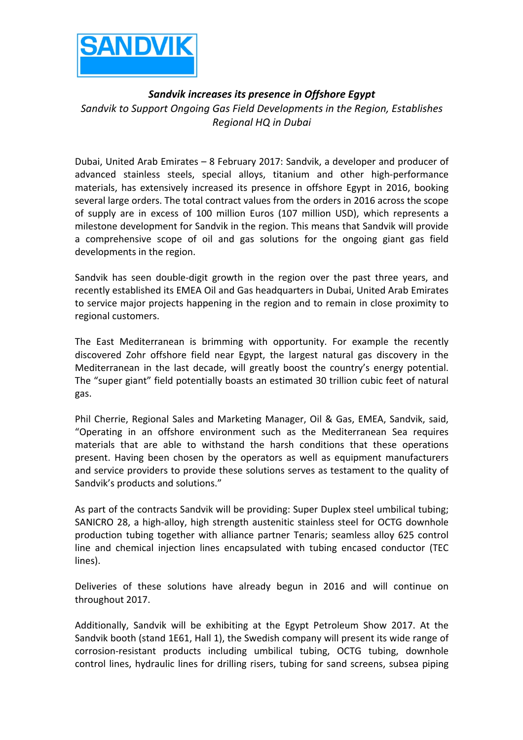

## Sandvik increases its presence in Offshore Egypt Sandvik to Support Ongoing Gas Field Developments in the Region, Establishes *Regional HQ in Dubai*

Dubai, United Arab Emirates  $-$  8 February 2017: Sandvik, a developer and producer of advanced stainless steels, special alloys, titanium and other high-performance materials, has extensively increased its presence in offshore Egypt in 2016, booking several large orders. The total contract values from the orders in 2016 across the scope of supply are in excess of 100 million Euros (107 million USD), which represents a milestone development for Sandvik in the region. This means that Sandvik will provide a comprehensive scope of oil and gas solutions for the ongoing giant gas field developments in the region.

Sandvik has seen double-digit growth in the region over the past three years, and recently established its EMEA Oil and Gas headquarters in Dubai, United Arab Emirates to service major projects happening in the region and to remain in close proximity to regional customers.

The East Mediterranean is brimming with opportunity. For example the recently discovered Zohr offshore field near Egypt, the largest natural gas discovery in the Mediterranean in the last decade, will greatly boost the country's energy potential. The "super giant" field potentially boasts an estimated 30 trillion cubic feet of natural gas. 

Phil Cherrie, Regional Sales and Marketing Manager, Oil & Gas, EMEA, Sandvik, said, "Operating in an offshore environment such as the Mediterranean Sea requires materials that are able to withstand the harsh conditions that these operations present. Having been chosen by the operators as well as equipment manufacturers and service providers to provide these solutions serves as testament to the quality of Sandvik's products and solutions."

As part of the contracts Sandvik will be providing: Super Duplex steel umbilical tubing; SANICRO 28, a high-alloy, high strength austenitic stainless steel for OCTG downhole production tubing together with alliance partner Tenaris; seamless alloy 625 control line and chemical injection lines encapsulated with tubing encased conductor (TEC lines). 

Deliveries of these solutions have already begun in 2016 and will continue on throughout 2017.

Additionally, Sandvik will be exhibiting at the Egypt Petroleum Show 2017. At the Sandvik booth (stand 1E61, Hall 1), the Swedish company will present its wide range of corrosion-resistant products including umbilical tubing, OCTG tubing, downhole control lines, hydraulic lines for drilling risers, tubing for sand screens, subsea piping